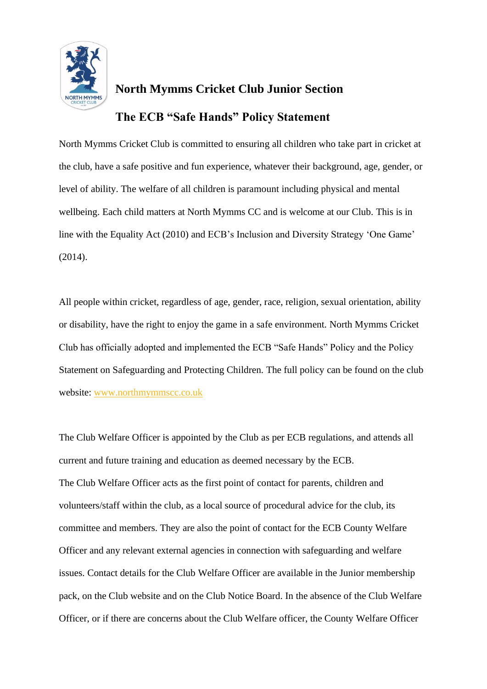

## **North Mymms Cricket Club Junior Section The ECB "Safe Hands" Policy Statement**

North Mymms Cricket Club is committed to ensuring all children who take part in cricket at the club, have a safe positive and fun experience, whatever their background, age, gender, or level of ability. The welfare of all children is paramount including physical and mental wellbeing. Each child matters at North Mymms CC and is welcome at our Club. This is in line with the Equality Act (2010) and ECB's Inclusion and Diversity Strategy 'One Game' (2014).

All people within cricket, regardless of age, gender, race, religion, sexual orientation, ability or disability, have the right to enjoy the game in a safe environment. North Mymms Cricket Club has officially adopted and implemented the ECB "Safe Hands" Policy and the Policy Statement on Safeguarding and Protecting Children. The full policy can be found on the club website: [www.northmymmscc.co.uk](http://www.northmymmscc.co.uk/)

The Club Welfare Officer is appointed by the Club as per ECB regulations, and attends all current and future training and education as deemed necessary by the ECB. The Club Welfare Officer acts as the first point of contact for parents, children and volunteers/staff within the club, as a local source of procedural advice for the club, its committee and members. They are also the point of contact for the ECB County Welfare Officer and any relevant external agencies in connection with safeguarding and welfare issues. Contact details for the Club Welfare Officer are available in the Junior membership pack, on the Club website and on the Club Notice Board. In the absence of the Club Welfare Officer, or if there are concerns about the Club Welfare officer, the County Welfare Officer